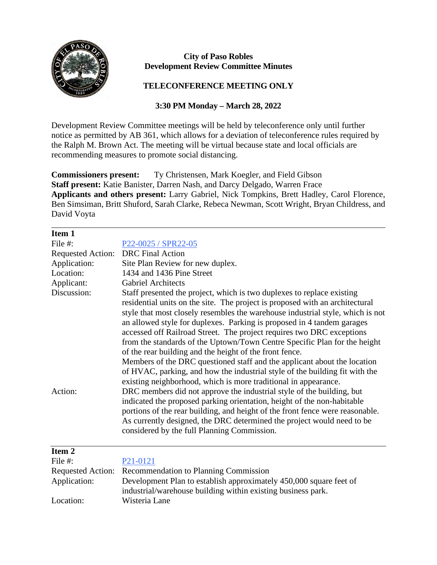

## **City of Paso Robles Development Review Committee Minutes**

## **TELECONFERENCE MEETING ONLY**

## **3:30 PM Monday – March 28, 2022**

Development Review Committee meetings will be held by teleconference only until further notice as permitted by AB 361, which allows for a deviation of teleconference rules required by the Ralph M. Brown Act. The meeting will be virtual because state and local officials are recommending measures to promote social distancing.

**Commissioners present:** Ty Christensen, Mark Koegler, and Field Gibson **Staff present:** Katie Banister, Darren Nash, and Darcy Delgado, Warren Frace **Applicants and others present:** Larry Gabriel, Nick Tompkins, Brett Hadley, Carol Florence, Ben Simsiman, Britt Shuford, Sarah Clarke, Rebeca Newman, Scott Wright, Bryan Childress, and David Voyta

| Item 1                   |                                                                                                                                                                                                                                                                                                                                                                                                                                                                                                                                                                                                                                                                                                                                                                   |
|--------------------------|-------------------------------------------------------------------------------------------------------------------------------------------------------------------------------------------------------------------------------------------------------------------------------------------------------------------------------------------------------------------------------------------------------------------------------------------------------------------------------------------------------------------------------------------------------------------------------------------------------------------------------------------------------------------------------------------------------------------------------------------------------------------|
| File #:                  | P <sub>22</sub> -0025 / SPR <sub>22</sub> -05                                                                                                                                                                                                                                                                                                                                                                                                                                                                                                                                                                                                                                                                                                                     |
| <b>Requested Action:</b> | <b>DRC</b> Final Action                                                                                                                                                                                                                                                                                                                                                                                                                                                                                                                                                                                                                                                                                                                                           |
| Application:             | Site Plan Review for new duplex.                                                                                                                                                                                                                                                                                                                                                                                                                                                                                                                                                                                                                                                                                                                                  |
| Location:                | 1434 and 1436 Pine Street                                                                                                                                                                                                                                                                                                                                                                                                                                                                                                                                                                                                                                                                                                                                         |
| Applicant:               | <b>Gabriel Architects</b>                                                                                                                                                                                                                                                                                                                                                                                                                                                                                                                                                                                                                                                                                                                                         |
| Discussion:              | Staff presented the project, which is two duplexes to replace existing<br>residential units on the site. The project is proposed with an architectural<br>style that most closely resembles the warehouse industrial style, which is not<br>an allowed style for duplexes. Parking is proposed in 4 tandem garages<br>accessed off Railroad Street. The project requires two DRC exceptions<br>from the standards of the Uptown/Town Centre Specific Plan for the height<br>of the rear building and the height of the front fence.<br>Members of the DRC questioned staff and the applicant about the location<br>of HVAC, parking, and how the industrial style of the building fit with the<br>existing neighborhood, which is more traditional in appearance. |
| Action:                  | DRC members did not approve the industrial style of the building, but<br>indicated the proposed parking orientation, height of the non-habitable<br>portions of the rear building, and height of the front fence were reasonable.<br>As currently designed, the DRC determined the project would need to be<br>considered by the full Planning Commission.                                                                                                                                                                                                                                                                                                                                                                                                        |
| Item <sub>2</sub>        |                                                                                                                                                                                                                                                                                                                                                                                                                                                                                                                                                                                                                                                                                                                                                                   |
| File #:                  | P <sub>21</sub> -0121                                                                                                                                                                                                                                                                                                                                                                                                                                                                                                                                                                                                                                                                                                                                             |
| <b>Requested Action:</b> | Recommendation to Planning Commission                                                                                                                                                                                                                                                                                                                                                                                                                                                                                                                                                                                                                                                                                                                             |
| Application:             | Development Plan to establish approximately 450,000 square feet of                                                                                                                                                                                                                                                                                                                                                                                                                                                                                                                                                                                                                                                                                                |
|                          | industrial/warehouse building within existing business park.                                                                                                                                                                                                                                                                                                                                                                                                                                                                                                                                                                                                                                                                                                      |
| Location:                | Wisteria Lane                                                                                                                                                                                                                                                                                                                                                                                                                                                                                                                                                                                                                                                                                                                                                     |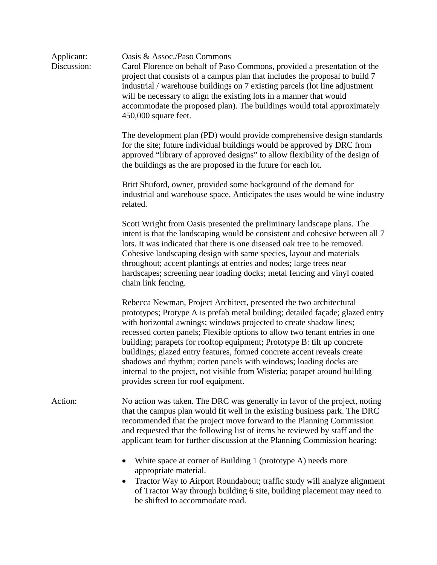| Applicant:<br>Discussion: | Oasis & Assoc./Paso Commons<br>Carol Florence on behalf of Paso Commons, provided a presentation of the<br>project that consists of a campus plan that includes the proposal to build 7<br>industrial / warehouse buildings on 7 existing parcels (lot line adjustment<br>will be necessary to align the existing lots in a manner that would<br>accommodate the proposed plan). The buildings would total approximately<br>$450,000$ square feet.                                                                                                                                                                                                        |
|---------------------------|-----------------------------------------------------------------------------------------------------------------------------------------------------------------------------------------------------------------------------------------------------------------------------------------------------------------------------------------------------------------------------------------------------------------------------------------------------------------------------------------------------------------------------------------------------------------------------------------------------------------------------------------------------------|
|                           | The development plan (PD) would provide comprehensive design standards<br>for the site; future individual buildings would be approved by DRC from<br>approved "library of approved designs" to allow flexibility of the design of<br>the buildings as the are proposed in the future for each lot.                                                                                                                                                                                                                                                                                                                                                        |
|                           | Britt Shuford, owner, provided some background of the demand for<br>industrial and warehouse space. Anticipates the uses would be wine industry<br>related.                                                                                                                                                                                                                                                                                                                                                                                                                                                                                               |
|                           | Scott Wright from Oasis presented the preliminary landscape plans. The<br>intent is that the landscaping would be consistent and cohesive between all 7<br>lots. It was indicated that there is one diseased oak tree to be removed.<br>Cohesive landscaping design with same species, layout and materials<br>throughout; accent plantings at entries and nodes; large trees near<br>hardscapes; screening near loading docks; metal fencing and vinyl coated<br>chain link fencing.                                                                                                                                                                     |
|                           | Rebecca Newman, Project Architect, presented the two architectural<br>prototypes; Protype A is prefab metal building; detailed façade; glazed entry<br>with horizontal awnings; windows projected to create shadow lines;<br>recessed corten panels; Flexible options to allow two tenant entries in one<br>building; parapets for rooftop equipment; Prototype B: tilt up concrete<br>buildings; glazed entry features, formed concrete accent reveals create<br>shadows and rhythm; corten panels with windows; loading docks are<br>internal to the project, not visible from Wisteria; parapet around building<br>provides screen for roof equipment. |
| Action:                   | No action was taken. The DRC was generally in favor of the project, noting<br>that the campus plan would fit well in the existing business park. The DRC<br>recommended that the project move forward to the Planning Commission<br>and requested that the following list of items be reviewed by staff and the<br>applicant team for further discussion at the Planning Commission hearing:                                                                                                                                                                                                                                                              |
|                           | White space at corner of Building 1 (prototype A) needs more<br>appropriate material.<br>Tractor Way to Airport Roundabout; traffic study will analyze alignment                                                                                                                                                                                                                                                                                                                                                                                                                                                                                          |

of Tractor Way through building 6 site, building placement may need to be shifted to accommodate road.